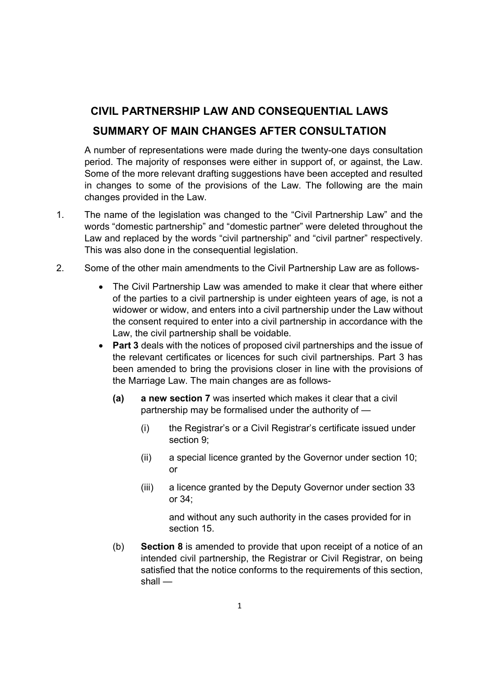## CIVIL PARTNERSHIP LAW AND CONSEQUENTIAL LAWS SUMMARY OF MAIN CHANGES AFTER CONSULTATION

A number of representations were made during the twenty-one days consultation period. The majority of responses were either in support of, or against, the Law. Some of the more relevant drafting suggestions have been accepted and resulted in changes to some of the provisions of the Law. The following are the main changes provided in the Law.

- 1. The name of the legislation was changed to the "Civil Partnership Law" and the words "domestic partnership" and "domestic partner" were deleted throughout the Law and replaced by the words "civil partnership" and "civil partner" respectively. This was also done in the consequential legislation.
- 2. Some of the other main amendments to the Civil Partnership Law are as follows-
	- The Civil Partnership Law was amended to make it clear that where either of the parties to a civil partnership is under eighteen years of age, is not a widower or widow, and enters into a civil partnership under the Law without the consent required to enter into a civil partnership in accordance with the Law, the civil partnership shall be voidable.
	- Part 3 deals with the notices of proposed civil partnerships and the issue of the relevant certificates or licences for such civil partnerships. Part 3 has been amended to bring the provisions closer in line with the provisions of the Marriage Law. The main changes are as follows-
		- (a) a new section 7 was inserted which makes it clear that a civil partnership may be formalised under the authority of —
			- (i) the Registrar's or a Civil Registrar's certificate issued under section 9;
			- (ii) a special licence granted by the Governor under section 10; or
			- (iii) a licence granted by the Deputy Governor under section 33 or 34;

and without any such authority in the cases provided for in section 15.

(b) Section 8 is amended to provide that upon receipt of a notice of an intended civil partnership, the Registrar or Civil Registrar, on being satisfied that the notice conforms to the requirements of this section, shall —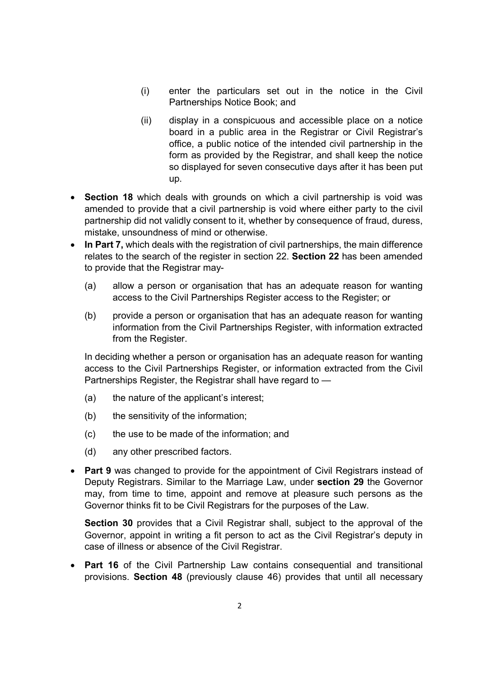- (i) enter the particulars set out in the notice in the Civil Partnerships Notice Book; and
- (ii) display in a conspicuous and accessible place on a notice board in a public area in the Registrar or Civil Registrar's office, a public notice of the intended civil partnership in the form as provided by the Registrar, and shall keep the notice so displayed for seven consecutive days after it has been put up.
- Section 18 which deals with grounds on which a civil partnership is void was amended to provide that a civil partnership is void where either party to the civil partnership did not validly consent to it, whether by consequence of fraud, duress, mistake, unsoundness of mind or otherwise.
- In Part 7. which deals with the registration of civil partnerships, the main difference relates to the search of the register in section 22. Section 22 has been amended to provide that the Registrar may-
	- (a) allow a person or organisation that has an adequate reason for wanting access to the Civil Partnerships Register access to the Register; or
	- (b) provide a person or organisation that has an adequate reason for wanting information from the Civil Partnerships Register, with information extracted from the Register.

In deciding whether a person or organisation has an adequate reason for wanting access to the Civil Partnerships Register, or information extracted from the Civil Partnerships Register, the Registrar shall have regard to —

- (a) the nature of the applicant's interest;
- (b) the sensitivity of the information;
- (c) the use to be made of the information; and
- (d) any other prescribed factors.
- Part 9 was changed to provide for the appointment of Civil Registrars instead of Deputy Registrars. Similar to the Marriage Law, under section 29 the Governor may, from time to time, appoint and remove at pleasure such persons as the Governor thinks fit to be Civil Registrars for the purposes of the Law.

Section 30 provides that a Civil Registrar shall, subject to the approval of the Governor, appoint in writing a fit person to act as the Civil Registrar's deputy in case of illness or absence of the Civil Registrar.

• Part 16 of the Civil Partnership Law contains consequential and transitional provisions. Section 48 (previously clause 46) provides that until all necessary